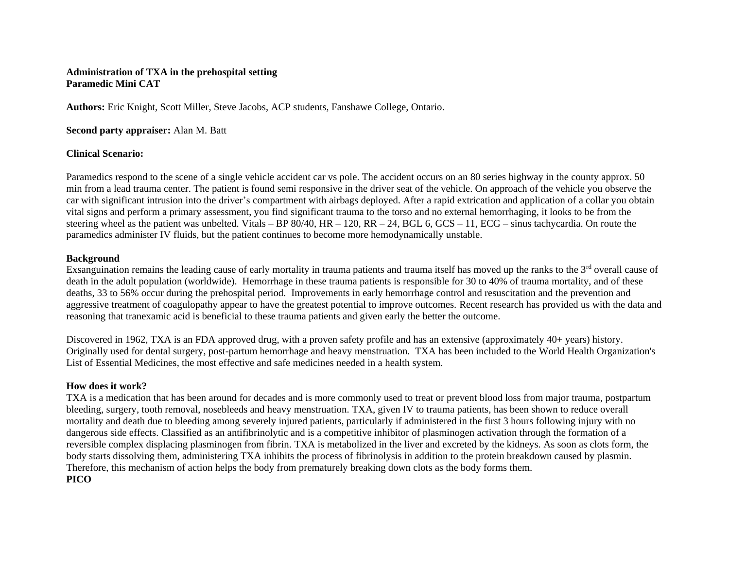## **Administration of TXA in the prehospital setting Paramedic Mini CAT**

**Authors:** Eric Knight, Scott Miller, Steve Jacobs, ACP students, Fanshawe College, Ontario.

### **Second party appraiser:** Alan M. Batt

## **Clinical Scenario:**

Paramedics respond to the scene of a single vehicle accident car vs pole. The accident occurs on an 80 series highway in the county approx. 50 min from a lead trauma center. The patient is found semi responsive in the driver seat of the vehicle. On approach of the vehicle you observe the car with significant intrusion into the driver's compartment with airbags deployed. After a rapid extrication and application of a collar you obtain vital signs and perform a primary assessment, you find significant trauma to the torso and no external hemorrhaging, it looks to be from the steering wheel as the patient was unbelted. Vitals – BP 80/40,  $HR - 120$ ,  $RR - 24$ ,  $BGL$  6,  $GCS - 11$ ,  $ECG -$  sinus tachycardia. On route the paramedics administer IV fluids, but the patient continues to become more hemodynamically unstable.

## **Background**

Exsanguination remains the leading cause of early mortality in trauma patients and trauma itself has moved up the ranks to the  $3<sup>rd</sup>$  overall cause of death in the adult population (worldwide). Hemorrhage in these trauma patients is responsible for 30 to 40% of trauma mortality, and of these deaths, 33 to 56% occur during the prehospital period. Improvements in early hemorrhage control and resuscitation and the prevention and aggressive treatment of coagulopathy appear to have the greatest potential to improve outcomes. Recent research has provided us with the data and reasoning that tranexamic acid is beneficial to these trauma patients and given early the better the outcome.

Discovered in 1962, TXA is an FDA approved drug, with a proven safety profile and has an extensive (approximately 40+ years) history. Originally used for dental surgery, post-partum hemorrhage and heavy menstruation. TXA has been included to the [World Health Organization's](https://en.wikipedia.org/wiki/World_Health_Organization%27s_List_of_Essential_Medicines)  [List of Essential Medicines,](https://en.wikipedia.org/wiki/World_Health_Organization%27s_List_of_Essential_Medicines) the most effective and safe medicines needed in a [health system.](https://en.wikipedia.org/wiki/Health_system)

## **How does it work?**

TXA is a medication that has been around for decades and is more commonly used to treat or prevent blood loss from major trauma, postpartum bleeding, surgery, tooth removal, nosebleeds and heavy menstruation. TXA, given IV to trauma patients, has been shown to reduce overall mortality and death due to bleeding among severely injured patients, particularly if administered in the first 3 hours following injury with no dangerous side effects. Classified as an antifibrinolytic and is a competitive inhibitor of plasminogen activation through the formation of a reversible complex displacing plasminogen from fibrin. TXA is metabolized in the liver and excreted by the kidneys. As soon as clots form, the body starts dissolving them, administering TXA inhibits the process of fibrinolysis in addition to the protein breakdown caused by plasmin. Therefore, this mechanism of action helps the body from prematurely breaking down clots as the body forms them. **PICO**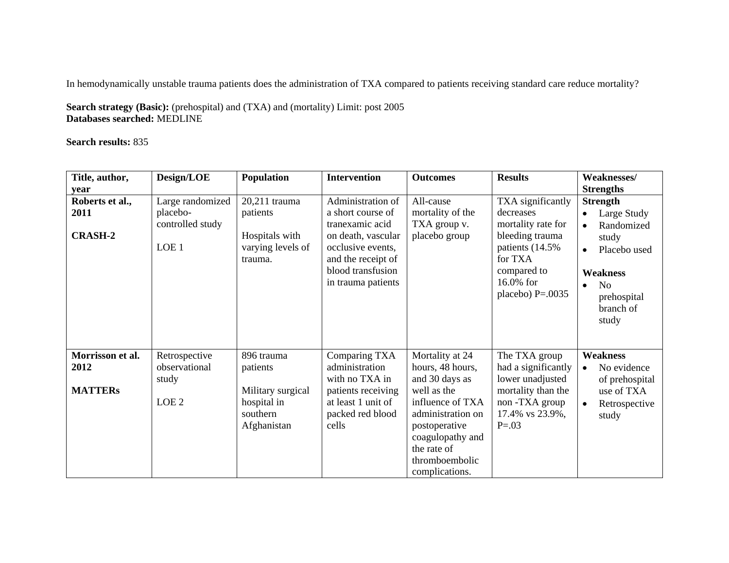In hemodynamically unstable trauma patients does the administration of TXA compared to patients receiving standard care reduce mortality?

**Search strategy (Basic):** (prehospital) and (TXA) and (mortality) Limit: post 2005 **Databases searched:** MEDLINE

**Search results:** 835

| Title, author,                             | Design/LOE                                                  | Population                                                             | <b>Intervention</b>                                                                                               | <b>Outcomes</b>                                                                                               | <b>Results</b>                                                                                                     | Weaknesses/                                                                                                               |
|--------------------------------------------|-------------------------------------------------------------|------------------------------------------------------------------------|-------------------------------------------------------------------------------------------------------------------|---------------------------------------------------------------------------------------------------------------|--------------------------------------------------------------------------------------------------------------------|---------------------------------------------------------------------------------------------------------------------------|
| year                                       |                                                             |                                                                        |                                                                                                                   |                                                                                                               |                                                                                                                    | <b>Strengths</b>                                                                                                          |
| Roberts et al.,<br>2011                    | Large randomized<br>placebo-<br>controlled study            | 20,211 trauma<br>patients                                              | Administration of<br>a short course of<br>tranexamic acid                                                         | All-cause<br>mortality of the<br>TXA group v.                                                                 | TXA significantly<br>decreases<br>mortality rate for                                                               | <b>Strength</b><br>Large Study<br>Randomized                                                                              |
| <b>CRASH-2</b>                             | LOE 1                                                       | Hospitals with<br>varying levels of<br>trauma.                         | on death, vascular<br>occlusive events,<br>and the receipt of<br>blood transfusion<br>in trauma patients          | placebo group                                                                                                 | bleeding trauma<br>patients (14.5%)<br>for TXA<br>compared to<br>16.0% for<br>placebo) $P = .0035$                 | study<br>Placebo used<br>$\bullet$<br><b>Weakness</b><br>N <sub>0</sub><br>$\bullet$<br>prehospital<br>branch of<br>study |
| Morrisson et al.<br>2012<br><b>MATTERs</b> | Retrospective<br>observational<br>study<br>LOE <sub>2</sub> | 896 trauma<br>patients<br>Military surgical<br>hospital in<br>southern | Comparing TXA<br>administration<br>with no TXA in<br>patients receiving<br>at least 1 unit of<br>packed red blood | Mortality at 24<br>hours, 48 hours,<br>and 30 days as<br>well as the<br>influence of TXA<br>administration on | The TXA group<br>had a significantly<br>lower unadjusted<br>mortality than the<br>non-TXA group<br>17.4% vs 23.9%, | <b>Weakness</b><br>No evidence<br>$\bullet$<br>of prehospital<br>use of TXA<br>Retrospective<br>study                     |
|                                            |                                                             | Afghanistan                                                            | cells                                                                                                             | postoperative<br>coagulopathy and<br>the rate of<br>thromboembolic<br>complications.                          | $P = 0.03$                                                                                                         |                                                                                                                           |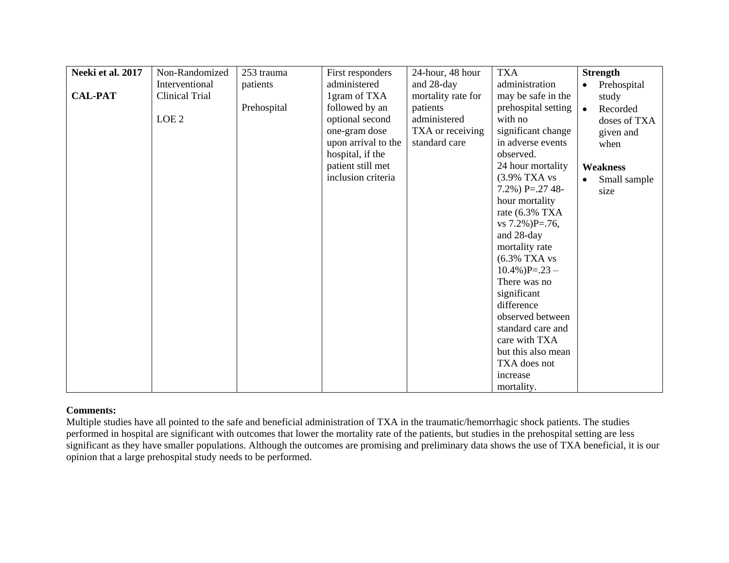| Neeki et al. 2017 | Non-Randomized   | 253 trauma  | First responders    | 24-hour, 48 hour   | <b>TXA</b>          | <b>Strength</b>          |
|-------------------|------------------|-------------|---------------------|--------------------|---------------------|--------------------------|
|                   | Interventional   | patients    | administered        | and 28-day         | administration      | Prehospital<br>$\bullet$ |
| <b>CAL-PAT</b>    | Clinical Trial   |             | 1 gram of TXA       | mortality rate for | may be safe in the  | study                    |
|                   |                  | Prehospital | followed by an      | patients           | prehospital setting | Recorded<br>$\bullet$    |
|                   | LOE <sub>2</sub> |             | optional second     | administered       | with no             | doses of TXA             |
|                   |                  |             | one-gram dose       | TXA or receiving   | significant change  | given and                |
|                   |                  |             | upon arrival to the | standard care      | in adverse events   | when                     |
|                   |                  |             | hospital, if the    |                    | observed.           |                          |
|                   |                  |             | patient still met   |                    | 24 hour mortality   | <b>Weakness</b>          |
|                   |                  |             | inclusion criteria  |                    | (3.9% TXA vs        | Small sample             |
|                   |                  |             |                     |                    | 7.2%) P=.27 48-     | size                     |
|                   |                  |             |                     |                    | hour mortality      |                          |
|                   |                  |             |                     |                    | rate $(6.3\%$ TXA   |                          |
|                   |                  |             |                     |                    | vs $7.2\%$ )P=.76,  |                          |
|                   |                  |             |                     |                    | and 28-day          |                          |
|                   |                  |             |                     |                    | mortality rate      |                          |
|                   |                  |             |                     |                    | $(6.3\%$ TXA vs     |                          |
|                   |                  |             |                     |                    | $10.4\%$ )P=.23 -   |                          |
|                   |                  |             |                     |                    | There was no        |                          |
|                   |                  |             |                     |                    | significant         |                          |
|                   |                  |             |                     |                    | difference          |                          |
|                   |                  |             |                     |                    | observed between    |                          |
|                   |                  |             |                     |                    | standard care and   |                          |
|                   |                  |             |                     |                    | care with TXA       |                          |
|                   |                  |             |                     |                    | but this also mean  |                          |
|                   |                  |             |                     |                    | TXA does not        |                          |
|                   |                  |             |                     |                    | increase            |                          |
|                   |                  |             |                     |                    | mortality.          |                          |

# **Comments:**

Multiple studies have all pointed to the safe and beneficial administration of TXA in the traumatic/hemorrhagic shock patients. The studies performed in hospital are significant with outcomes that lower the mortality rate of the patients, but studies in the prehospital setting are less significant as they have smaller populations. Although the outcomes are promising and preliminary data shows the use of TXA beneficial, it is our opinion that a large prehospital study needs to be performed.